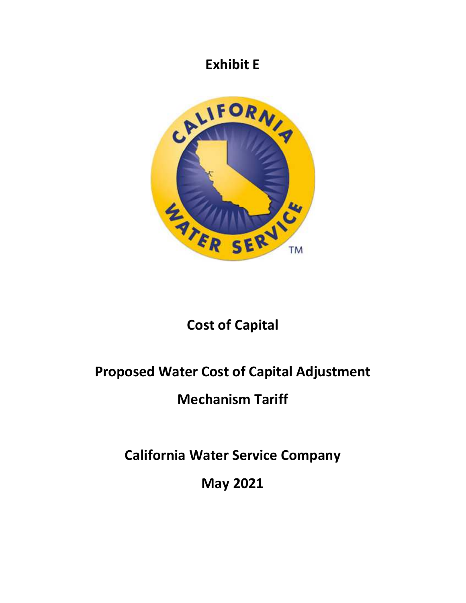### **Exhibit E**



# **Cost of Capital**

# **Proposed Water Cost of Capital Adjustment**

# **Mechanism Tariff**

**California Water Service Company** 

**May 2021**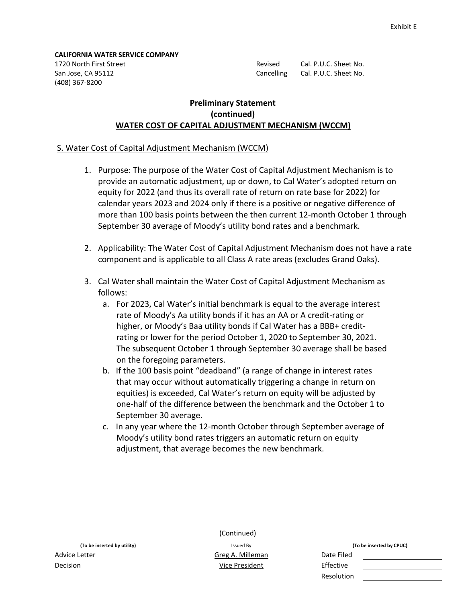Revised Cal. P.U.C. Sheet No. Cancelling Cal. P.U.C. Sheet No.

#### **Preliminary Statement (continued) WATER COST OF CAPITAL ADJUSTMENT MECHANISM (WCCM)**

#### S. Water Cost of Capital Adjustment Mechanism (WCCM)

- 1. Purpose: The purpose of the Water Cost of Capital Adjustment Mechanism is to provide an automatic adjustment, up or down, to Cal Water's adopted return on equity for 2022 (and thus its overall rate of return on rate base for 2022) for calendar years 2023 and 2024 only if there is a positive or negative difference of more than 100 basis points between the then current 12-month October 1 through September 30 average of Moody's utility bond rates and a benchmark.
- 2. Applicability: The Water Cost of Capital Adjustment Mechanism does not have a rate component and is applicable to all Class A rate areas (excludes Grand Oaks).
- 3. Cal Water shall maintain the Water Cost of Capital Adjustment Mechanism as follows:
	- a. For 2023, Cal Water's initial benchmark is equal to the average interest rate of Moody's Aa utility bonds if it has an AA or A credit-rating or higher, or Moody's Baa utility bonds if Cal Water has a BBB+ creditrating or lower for the period October 1, 2020 to September 30, 2021. The subsequent October 1 through September 30 average shall be based on the foregoing parameters.
	- b. If the 100 basis point "deadband" (a range of change in interest rates that may occur without automatically triggering a change in return on equities) is exceeded, Cal Water's return on equity will be adjusted by one-half of the difference between the benchmark and the October 1 to September 30 average.
	- c. In any year where the 12-month October through September average of Moody's utility bond rates triggers an automatic return on equity adjustment, that average becomes the new benchmark.

| (Continued)                 |                  |                          |  |
|-----------------------------|------------------|--------------------------|--|
| (To be inserted by utility) | Issued By        | (To be inserted by CPUC) |  |
| Advice Letter               | Greg A. Milleman | Date Filed               |  |
| <b>Decision</b>             | Vice President   | Effective                |  |
|                             |                  | Resolution               |  |